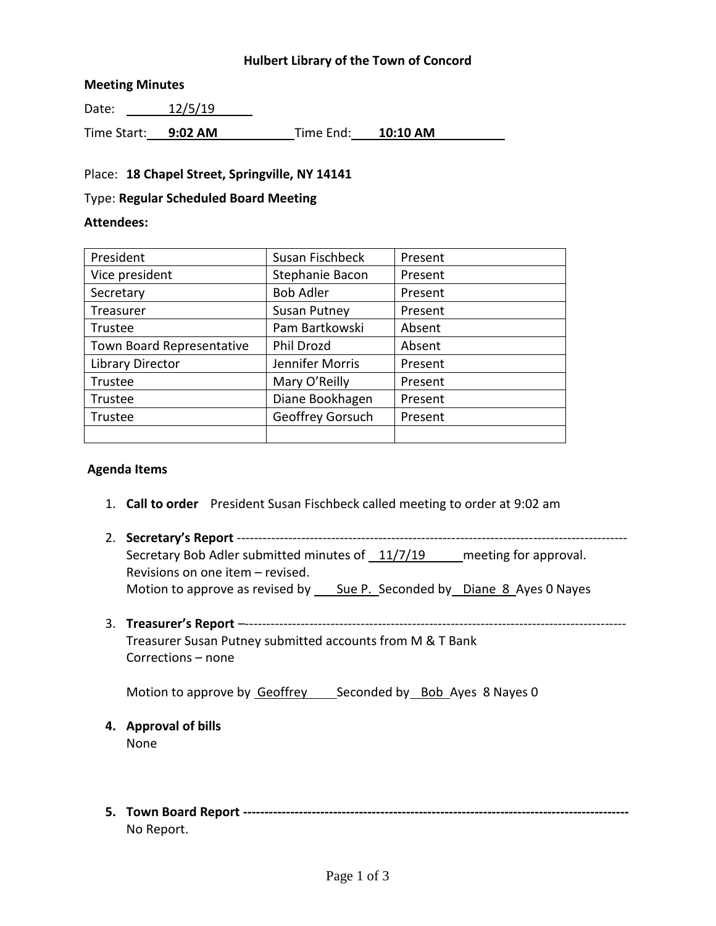### **Hulbert Library of the Town of Concord**

#### **Meeting Minutes**

Date: 12/5/19

Time Start: **9:02 AM** Time End: **10:10 AM**

### Place: **18 Chapel Street, Springville, NY 14141**

#### Type: **Regular Scheduled Board Meeting**

#### **Attendees:**

| President                 | Susan Fischbeck     | Present |
|---------------------------|---------------------|---------|
| Vice president            | Stephanie Bacon     | Present |
| Secretary                 | <b>Bob Adler</b>    | Present |
| Treasurer                 | <b>Susan Putney</b> | Present |
| Trustee                   | Pam Bartkowski      | Absent  |
| Town Board Representative | Phil Drozd          | Absent  |
| Library Director          | Jennifer Morris     | Present |
| Trustee                   | Mary O'Reilly       | Present |
| Trustee                   | Diane Bookhagen     | Present |
| Trustee                   | Geoffrey Gorsuch    | Present |
|                           |                     |         |

#### **Agenda Items**

- 1. **Call to order** President Susan Fischbeck called meeting to order at 9:02 am
- 2. **Secretary's Report** ------------------------------------------------------------------------------------------- Secretary Bob Adler submitted minutes of 11/7/19 meeting for approval. Revisions on one item – revised. Motion to approve as revised by \_\_\_\_\_ Sue P.\_\_ Seconded by \_\_\_ Diane 8\_Ayes 0 Nayes
- 3. **Treasurer's Report** –----------------------------------------------------------------------------------------- Treasurer Susan Putney submitted accounts from M & T Bank Corrections – none

Motion to approve by Geoffrey Seconded by Bob Ayes 8 Nayes 0

- **4. Approval of bills** None
- **5. Town Board Report ------------------------------------------------------------------------------------------** No Report.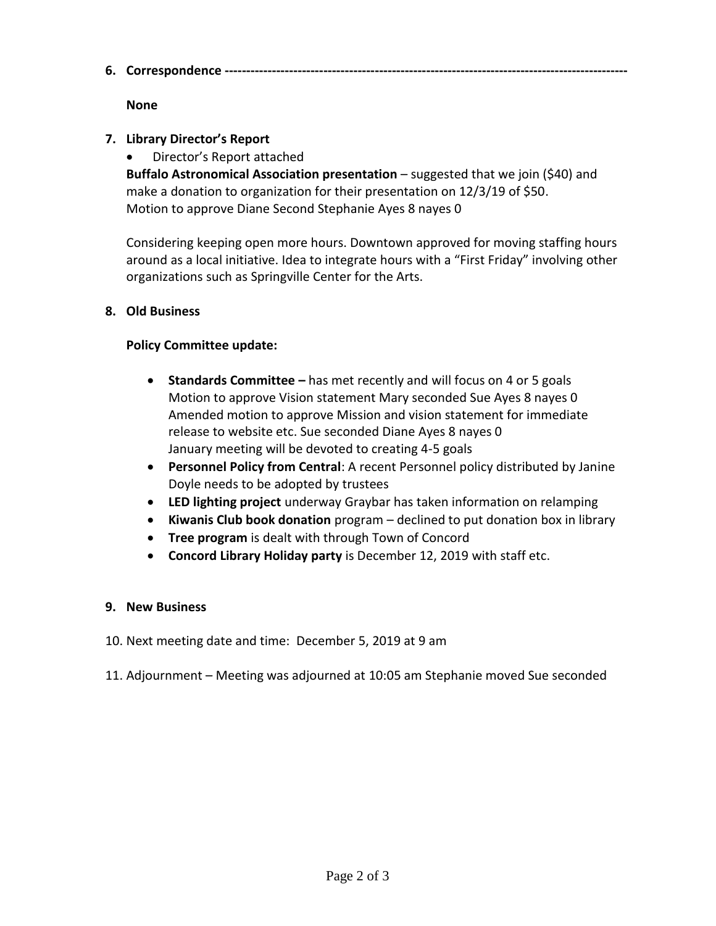**6. Correspondence ----------------------------------------------------------------------------------------------**

## **None**

# **7. Library Director's Report**

Director's Report attached

**Buffalo Astronomical Association presentation** – suggested that we join (\$40) and make a donation to organization for their presentation on 12/3/19 of \$50. Motion to approve Diane Second Stephanie Ayes 8 nayes 0

Considering keeping open more hours. Downtown approved for moving staffing hours around as a local initiative. Idea to integrate hours with a "First Friday" involving other organizations such as Springville Center for the Arts.

# **8. Old Business**

### **Policy Committee update:**

- **•** Standards Committee has met recently and will focus on 4 or 5 goals Motion to approve Vision statement Mary seconded Sue Ayes 8 nayes 0 Amended motion to approve Mission and vision statement for immediate release to website etc. Sue seconded Diane Ayes 8 nayes 0 January meeting will be devoted to creating 4-5 goals
- **Personnel Policy from Central**: A recent Personnel policy distributed by Janine Doyle needs to be adopted by trustees
- **LED lighting project** underway Graybar has taken information on relamping
- **Kiwanis Club book donation** program declined to put donation box in library
- **Tree program** is dealt with through Town of Concord
- **Concord Library Holiday party** is December 12, 2019 with staff etc.

### **9. New Business**

- 10. Next meeting date and time: December 5, 2019 at 9 am
- 11. Adjournment Meeting was adjourned at 10:05 am Stephanie moved Sue seconded